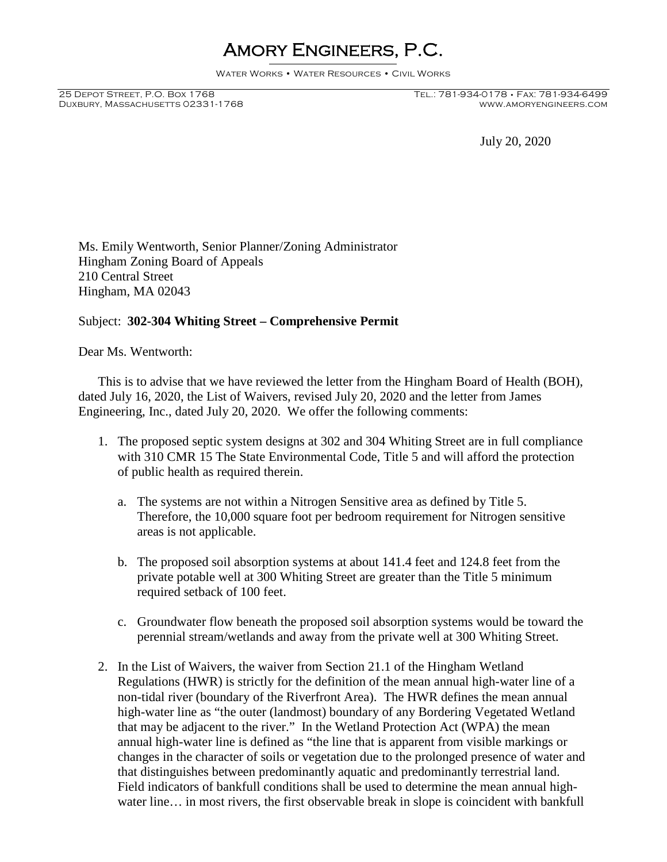## Amory Engineers, P.C.

Water Works • Water Resources • Civil Works

DUXBURY, MASSACHUSETTS 02331-1768

25 Depot Street, P.O. Box 1768 Tel.: 781-934-0178 • Fax: 781-934-6499

July 20, 2020

Ms. Emily Wentworth, Senior Planner/Zoning Administrator Hingham Zoning Board of Appeals 210 Central Street Hingham, MA 02043

## Subject: **302-304 Whiting Street – Comprehensive Permit**

Dear Ms. Wentworth:

This is to advise that we have reviewed the letter from the Hingham Board of Health (BOH), dated July 16, 2020, the List of Waivers, revised July 20, 2020 and the letter from James Engineering, Inc., dated July 20, 2020. We offer the following comments:

- 1. The proposed septic system designs at 302 and 304 Whiting Street are in full compliance with 310 CMR 15 The State Environmental Code, Title 5 and will afford the protection of public health as required therein.
	- a. The systems are not within a Nitrogen Sensitive area as defined by Title 5. Therefore, the 10,000 square foot per bedroom requirement for Nitrogen sensitive areas is not applicable.
	- b. The proposed soil absorption systems at about 141.4 feet and 124.8 feet from the private potable well at 300 Whiting Street are greater than the Title 5 minimum required setback of 100 feet.
	- c. Groundwater flow beneath the proposed soil absorption systems would be toward the perennial stream/wetlands and away from the private well at 300 Whiting Street.
- 2. In the List of Waivers, the waiver from Section 21.1 of the Hingham Wetland Regulations (HWR) is strictly for the definition of the mean annual high-water line of a non-tidal river (boundary of the Riverfront Area). The HWR defines the mean annual high-water line as "the outer (landmost) boundary of any Bordering Vegetated Wetland that may be adjacent to the river." In the Wetland Protection Act (WPA) the mean annual high-water line is defined as "the line that is apparent from visible markings or changes in the character of soils or vegetation due to the prolonged presence of water and that distinguishes between predominantly aquatic and predominantly terrestrial land. Field indicators of bankfull conditions shall be used to determine the mean annual highwater line… in most rivers, the first observable break in slope is coincident with bankfull